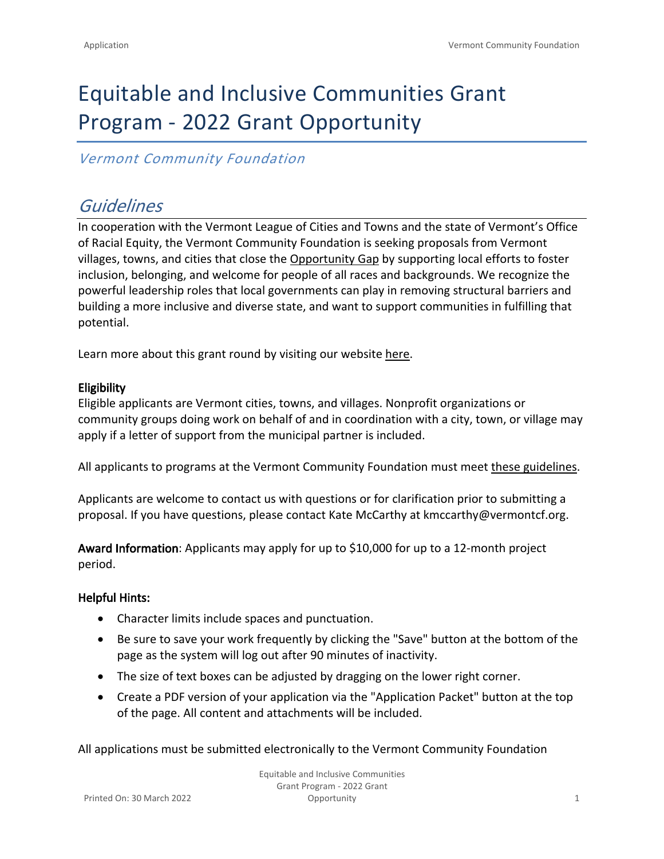# Equitable and Inclusive Communities Grant Program - 2022 Grant Opportunity

#### *Vermont Community Foundation*

## *Guidelines*

In cooperation with the Vermont League of Cities and Towns and the state of Vermont's Office of Racial Equity, the Vermont Community Foundation is seeking proposals from Vermont villages, towns, and cities that close the [Opportunity Gap](https://vermontcf.org/our-impact/community-impact/) by supporting local efforts to foster inclusion, belonging, and welcome for people of all races and backgrounds. We recognize the powerful leadership roles that local governments can play in removing structural barriers and building a more inclusive and diverse state, and want to support communities in fulfilling that potential.

Learn more about this grant round by visiting our website [here.](https://vermontcf.org/our-impact/programs-and-funds/equitable-and-inclusive-communities/)

#### **Eligibility**

Eligible applicants are Vermont cities, towns, and villages. Nonprofit organizations or community groups doing work on behalf of and in coordination with a city, town, or village may apply if a letter of support from the municipal partner is included.

All applicants to programs at the Vermont Community Foundation must meet [these guidelines](https://vermontcf.org/nonprofits-and-grantseekers/how-to-apply/#ApplicantGuidelines).

Applicants are welcome to contact us with questions or for clarification prior to submitting a proposal. If you have questions, please contact Kate McCarthy at [kmccarthy@vermontcf.org.](mailto:kmccarthy@vermontcf.org)

**Award Information**: Applicants may apply for up to \$10,000 for up to a 12-month project period.

#### **Helpful Hints:**

- Character limits include spaces and punctuation.
- Be sure to save your work frequently by clicking the "Save" button at the bottom of the page as the system will log out after 90 minutes of inactivity.
- The size of text boxes can be adjusted by dragging on the lower right corner.
- Create a PDF version of your application via the "Application Packet" button at the top of the page. All content and attachments will be included.

All applications must be submitted electronically to the Vermont Community Foundation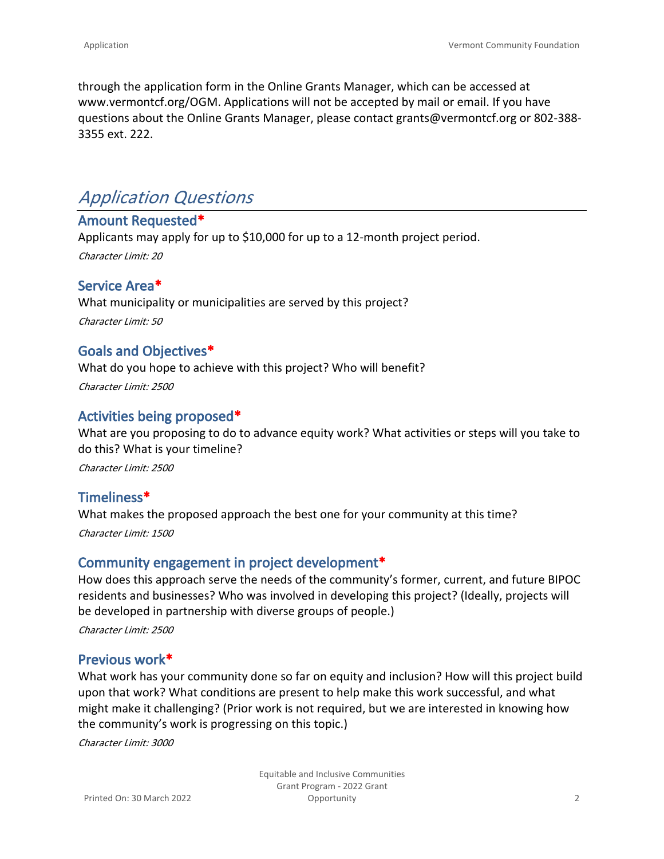through the application form in the Online Grants Manager, which can be accessed at [www.vermontcf.org/OGM.](http://www.vermontcf.org/OGM) Applications will not be accepted by mail or email. If you have questions about the Online Grants Manager, please contact grants@vermontcf.org or 802-388- 3355 ext. 222.

# *Application Questions*

#### **Amount Requested\***

Applicants may apply for up to \$10,000 for up to a 12-month project period. *Character Limit: 20*

#### **Service Area\***

What municipality or municipalities are served by this project? *Character Limit: 50*

#### **Goals and Objectives\***

What do you hope to achieve with this project? Who will benefit?

*Character Limit: 2500*

#### **Activities being proposed\***

What are you proposing to do to advance equity work? What activities or steps will you take to do this? What is your timeline?

*Character Limit: 2500*

# **Timeliness\***

What makes the proposed approach the best one for your community at this time? *Character Limit: 1500*

#### **Community engagement in project development\***

How does this approach serve the needs of the community's former, current, and future BIPOC residents and businesses? Who was involved in developing this project? (Ideally, projects will be developed in partnership with diverse groups of people.) *Character Limit: 2500*

#### **Previous work\***

What work has your community done so far on equity and inclusion? How will this project build upon that work? What conditions are present to help make this work successful, and what might make it challenging? (Prior work is not required, but we are interested in knowing how the community's work is progressing on this topic.)

*Character Limit: 3000*

Equitable and Inclusive Communities Grant Program - 2022 Grant Opportunity 2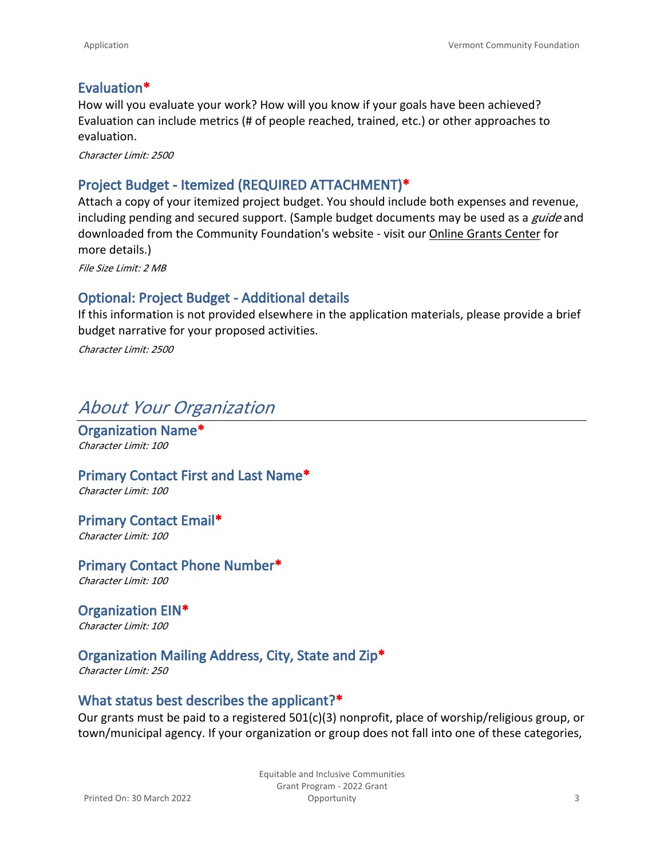#### **Evaluation\***

How will you evaluate your work? How will you know if your goals have been achieved? Evaluation can include metrics (# of people reached, trained, etc.) or other approaches to evaluation.

*Character Limit: 2500*

#### **Project Budget - Itemized (REQUIRED ATTACHMENT)\***

Attach a copy of your itemized project budget. You should include both expenses and revenue, including pending and secured support. (Sample budget documents may be used as a *guide* and downloaded from the Community Foundation's website - visit our [Online Grants Center](https://www.vermontcf.org/nonprofits-and-grantseekers/how-to-apply/) for more details.)

*File Size Limit: 2 MB*

#### **Optional: Project Budget - Additional details**

If this information is not provided elsewhere in the application materials, please provide a brief budget narrative for your proposed activities.

*Character Limit: 2500*

### *About Your Organization*

**Organization Name\*** *Character Limit: 100*

**Primary Contact First and Last Name\*** *Character Limit: 100*

**Primary Contact Email\*** *Character Limit: 100*

**Primary Contact Phone Number\*** *Character Limit: 100*

**Organization EIN\*** *Character Limit: 100*

#### **Organization Mailing Address, City, State and Zip\***

*Character Limit: 250*

#### **What status best describes the applicant?\***

Our grants must be paid to a registered 501(c)(3) nonprofit, place of worship/religious group, or town/municipal agency. If your organization or group does not fall into one of these categories,